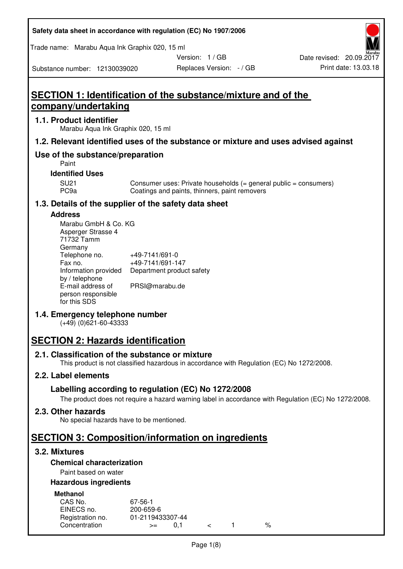### **Safety data sheet in accordance with regulation (EC) No 1907/2006**

Trade name: Marabu Aqua Ink Graphix 020, 15 ml

Version: 1 / GB

Replaces Version: - / GB Print date: 13.03.18 Date revised: 20.09.2017

Substance number: 12130039020

# **SECTION 1: Identification of the substance/mixture and of the company/undertaking**

### **1.1. Product identifier**

Marabu Aqua Ink Graphix 020, 15 ml

### **1.2. Relevant identified uses of the substance or mixture and uses advised against**

## **Use of the substance/preparation**

Paint

### **Identified Uses**

SU21 Consumer uses: Private households (= general public = consumers)<br>PC9a Coatings and paints, thinners, paint removers Coatings and paints, thinners, paint removers

## **1.3. Details of the supplier of the safety data sheet**

### **Address**

| Marabu GmbH & Co. KG |                           |
|----------------------|---------------------------|
| Asperger Strasse 4   |                           |
| 71732 Tamm           |                           |
| Germany              |                           |
| Telephone no.        | +49-7141/691-0            |
| Fax no.              | +49-7141/691-147          |
| Information provided | Department product safety |
| by / telephone       |                           |
| E-mail address of    | PRSI@marabu.de            |
| person responsible   |                           |
| for this SDS         |                           |

## **1.4. Emergency telephone number**

(+49) (0)621-60-43333

# **SECTION 2: Hazards identification**

### **2.1. Classification of the substance or mixture**

This product is not classified hazardous in accordance with Regulation (EC) No 1272/2008.

## **2.2. Label elements**

## **Labelling according to regulation (EC) No 1272/2008**

The product does not require a hazard warning label in accordance with Regulation (EC) No 1272/2008.

### **2.3. Other hazards**

No special hazards have to be mentioned.

## **SECTION 3: Composition/information on ingredients**

## **3.2. Mixtures**

## **Chemical characterization**

## Paint based on water

### **Hazardous ingredients**

| <b>Methanol</b>  |                  |  |   |
|------------------|------------------|--|---|
| CAS No.          | 67-56-1          |  |   |
| EINECS no.       | 200-659-6        |  |   |
| Registration no. | 01-2119433307-44 |  |   |
| Concentration    | $>=$             |  | % |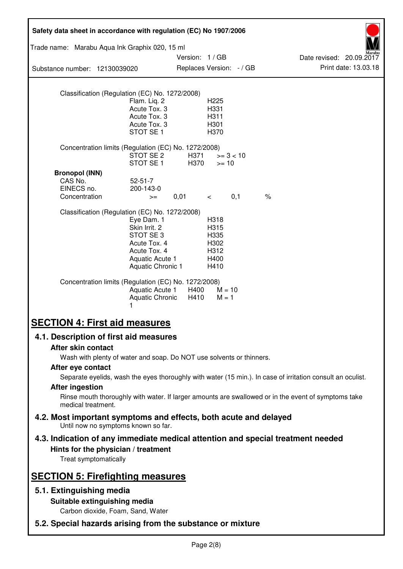| Safety data sheet in accordance with regulation (EC) No 1907/2006                                                         |                                         |                          |                     |             |                          |
|---------------------------------------------------------------------------------------------------------------------------|-----------------------------------------|--------------------------|---------------------|-------------|--------------------------|
| Trade name: Marabu Aqua Ink Graphix 020, 15 ml                                                                            |                                         |                          |                     |             |                          |
|                                                                                                                           |                                         | Version: 1 / GB          |                     |             | Date revised: 20.09.2017 |
| Substance number: 12130039020                                                                                             |                                         | Replaces Version: - / GB |                     |             | Print date: 13.03.18     |
|                                                                                                                           |                                         |                          |                     |             |                          |
| Classification (Regulation (EC) No. 1272/2008)                                                                            | Flam. Liq. 2                            |                          | H <sub>225</sub>    |             |                          |
|                                                                                                                           | Acute Tox. 3                            |                          | H331                |             |                          |
|                                                                                                                           | Acute Tox. 3<br>Acute Tox. 3            |                          | H311<br>H301        |             |                          |
|                                                                                                                           | STOT SE <sub>1</sub>                    |                          | H370                |             |                          |
| Concentration limits (Regulation (EC) No. 1272/2008)                                                                      |                                         |                          |                     |             |                          |
|                                                                                                                           | STOT SE 2                               | H371                     |                     | $>= 3 < 10$ |                          |
|                                                                                                                           | STOT SE <sub>1</sub>                    | H370                     | $>= 10$             |             |                          |
| <b>Bronopol (INN)</b><br>CAS No.                                                                                          | $52 - 51 - 7$                           |                          |                     |             |                          |
| EINECS no.                                                                                                                | 200-143-0                               |                          |                     |             |                          |
| Concentration                                                                                                             | $>=$                                    | 0,01                     | $\lt$               | 0,1         | $\frac{1}{6}$            |
| Classification (Regulation (EC) No. 1272/2008)                                                                            |                                         |                          |                     |             |                          |
|                                                                                                                           | Eye Dam. 1                              |                          | H318                |             |                          |
|                                                                                                                           | Skin Irrit. 2                           |                          | H315                |             |                          |
|                                                                                                                           | STOT SE3<br>Acute Tox. 4                |                          | H335<br>H302        |             |                          |
|                                                                                                                           | Acute Tox. 4                            |                          | H312                |             |                          |
|                                                                                                                           | Aquatic Acute 1                         |                          | H400                |             |                          |
|                                                                                                                           | Aquatic Chronic 1                       |                          | H410                |             |                          |
| Concentration limits (Regulation (EC) No. 1272/2008)                                                                      | Aquatic Acute 1<br>Aquatic Chronic<br>1 | H400<br>H410             | $M = 10$<br>$M = 1$ |             |                          |
|                                                                                                                           |                                         |                          |                     |             |                          |
| <b>SECTION 4: First aid measures</b>                                                                                      |                                         |                          |                     |             |                          |
| 4.1. Description of first aid measures                                                                                    |                                         |                          |                     |             |                          |
| After skin contact                                                                                                        |                                         |                          |                     |             |                          |
| Wash with plenty of water and soap. Do NOT use solvents or thinners.                                                      |                                         |                          |                     |             |                          |
| After eye contact                                                                                                         |                                         |                          |                     |             |                          |
| Separate eyelids, wash the eyes thoroughly with water (15 min.). In case of irritation consult an oculist.                |                                         |                          |                     |             |                          |
| <b>After ingestion</b>                                                                                                    |                                         |                          |                     |             |                          |
| Rinse mouth thoroughly with water. If larger amounts are swallowed or in the event of symptoms take<br>medical treatment. |                                         |                          |                     |             |                          |
| 4.2. Most important symptoms and effects, both acute and delayed<br>Until now no symptoms known so far.                   |                                         |                          |                     |             |                          |
| 4.3. Indication of any immediate medical attention and special treatment needed                                           |                                         |                          |                     |             |                          |
| Hints for the physician / treatment                                                                                       |                                         |                          |                     |             |                          |
| Treat symptomatically                                                                                                     |                                         |                          |                     |             |                          |
| <b>SECTION 5: Firefighting measures</b>                                                                                   |                                         |                          |                     |             |                          |
| 5.1. Extinguishing media                                                                                                  |                                         |                          |                     |             |                          |
|                                                                                                                           |                                         |                          |                     |             |                          |
| Suitable extinguishing media<br>Carbon dioxide, Foam, Sand, Water                                                         |                                         |                          |                     |             |                          |
| 5.2. Special hazards arising from the substance or mixture                                                                |                                         |                          |                     |             |                          |
|                                                                                                                           |                                         |                          |                     |             |                          |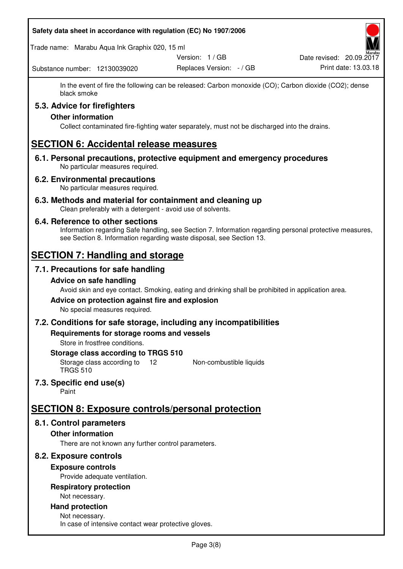### **Safety data sheet in accordance with regulation (EC) No 1907/2006**

Trade name: Marabu Aqua Ink Graphix 020, 15 ml

Substance number: 12130039020

Version: 1 / GB

Replaces Version: - / GB Print date: 13.03.18 Date revised: 20.09.2017

In the event of fire the following can be released: Carbon monoxide (CO); Carbon dioxide (CO2); dense black smoke

## **5.3. Advice for firefighters**

### **Other information**

Collect contaminated fire-fighting water separately, must not be discharged into the drains.

## **SECTION 6: Accidental release measures**

**6.1. Personal precautions, protective equipment and emergency procedures**  No particular measures required.

### **6.2. Environmental precautions**

No particular measures required.

**6.3. Methods and material for containment and cleaning up**  Clean preferably with a detergent - avoid use of solvents.

### **6.4. Reference to other sections**

Information regarding Safe handling, see Section 7. Information regarding personal protective measures, see Section 8. Information regarding waste disposal, see Section 13.

## **SECTION 7: Handling and storage**

## **7.1. Precautions for safe handling**

#### **Advice on safe handling**

Avoid skin and eye contact. Smoking, eating and drinking shall be prohibited in application area.

## **Advice on protection against fire and explosion**

No special measures required.

### **7.2. Conditions for safe storage, including any incompatibilities**

**Requirements for storage rooms and vessels** 

Store in frostfree conditions.

### **Storage class according to TRGS 510**

Storage class according to 12 TRGS 510 Non-combustible liquids

## **7.3. Specific end use(s)**

Paint

# **SECTION 8: Exposure controls/personal protection**

## **8.1. Control parameters**

## **Other information**

There are not known any further control parameters.

## **8.2. Exposure controls**

## **Exposure controls**

Provide adequate ventilation.

# **Respiratory protection**

Not necessary.

#### **Hand protection**  Not necessary.

In case of intensive contact wear protective gloves.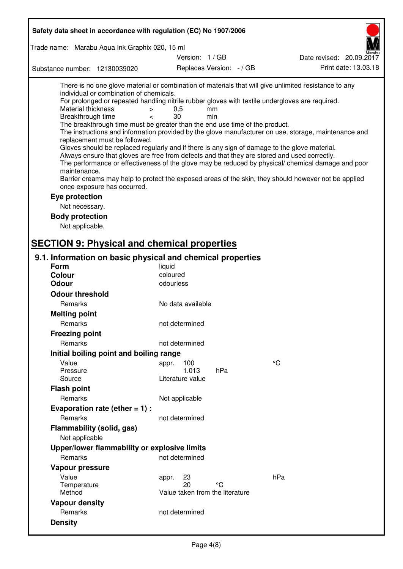| Safety data sheet in accordance with regulation (EC) No 1907/2006                                                                                                                                                                                                                                                                                                                                                                                                                                                                                                                                                                                                                                                                                                                                                                                                                             |                                 |                          |                                                                                                                                                                                                            |
|-----------------------------------------------------------------------------------------------------------------------------------------------------------------------------------------------------------------------------------------------------------------------------------------------------------------------------------------------------------------------------------------------------------------------------------------------------------------------------------------------------------------------------------------------------------------------------------------------------------------------------------------------------------------------------------------------------------------------------------------------------------------------------------------------------------------------------------------------------------------------------------------------|---------------------------------|--------------------------|------------------------------------------------------------------------------------------------------------------------------------------------------------------------------------------------------------|
| Trade name: Marabu Aqua Ink Graphix 020, 15 ml                                                                                                                                                                                                                                                                                                                                                                                                                                                                                                                                                                                                                                                                                                                                                                                                                                                |                                 |                          |                                                                                                                                                                                                            |
|                                                                                                                                                                                                                                                                                                                                                                                                                                                                                                                                                                                                                                                                                                                                                                                                                                                                                               | Version: 1 / GB                 |                          | Date revised: 20.09.2017                                                                                                                                                                                   |
| Substance number: 12130039020                                                                                                                                                                                                                                                                                                                                                                                                                                                                                                                                                                                                                                                                                                                                                                                                                                                                 |                                 | Replaces Version: - / GB | Print date: 13.03.18                                                                                                                                                                                       |
| There is no one glove material or combination of materials that will give unlimited resistance to any<br>individual or combination of chemicals.<br>For prolonged or repeated handling nitrile rubber gloves with textile undergloves are required.<br>Material thickness<br>$\geq$<br>Breakthrough time<br>$\overline{\phantom{0}}$<br>The breakthrough time must be greater than the end use time of the product.<br>replacement must be followed.<br>Gloves should be replaced regularly and if there is any sign of damage to the glove material.<br>Always ensure that gloves are free from defects and that they are stored and used correctly.<br>maintenance.<br>Barrier creams may help to protect the exposed areas of the skin, they should however not be applied<br>once exposure has occurred.<br>Eye protection<br>Not necessary.<br><b>Body protection</b><br>Not applicable. | 0,5<br>30                       | mm<br>min                | The instructions and information provided by the glove manufacturer on use, storage, maintenance and<br>The performance or effectiveness of the glove may be reduced by physical/ chemical damage and poor |
| <b>SECTION 9: Physical and chemical properties</b>                                                                                                                                                                                                                                                                                                                                                                                                                                                                                                                                                                                                                                                                                                                                                                                                                                            |                                 |                          |                                                                                                                                                                                                            |
| 9.1. Information on basic physical and chemical properties<br><b>Form</b><br><b>Colour</b>                                                                                                                                                                                                                                                                                                                                                                                                                                                                                                                                                                                                                                                                                                                                                                                                    | liquid<br>coloured              |                          |                                                                                                                                                                                                            |
| <b>Odour</b>                                                                                                                                                                                                                                                                                                                                                                                                                                                                                                                                                                                                                                                                                                                                                                                                                                                                                  | odourless                       |                          |                                                                                                                                                                                                            |
| <b>Odour threshold</b>                                                                                                                                                                                                                                                                                                                                                                                                                                                                                                                                                                                                                                                                                                                                                                                                                                                                        |                                 |                          |                                                                                                                                                                                                            |
| Remarks                                                                                                                                                                                                                                                                                                                                                                                                                                                                                                                                                                                                                                                                                                                                                                                                                                                                                       | No data available               |                          |                                                                                                                                                                                                            |
| <b>Melting point</b>                                                                                                                                                                                                                                                                                                                                                                                                                                                                                                                                                                                                                                                                                                                                                                                                                                                                          |                                 |                          |                                                                                                                                                                                                            |
| Remarks                                                                                                                                                                                                                                                                                                                                                                                                                                                                                                                                                                                                                                                                                                                                                                                                                                                                                       | not determined                  |                          |                                                                                                                                                                                                            |
| <b>Freezing point</b>                                                                                                                                                                                                                                                                                                                                                                                                                                                                                                                                                                                                                                                                                                                                                                                                                                                                         |                                 |                          |                                                                                                                                                                                                            |
| Remarks                                                                                                                                                                                                                                                                                                                                                                                                                                                                                                                                                                                                                                                                                                                                                                                                                                                                                       | not determined                  |                          |                                                                                                                                                                                                            |
| Initial boiling point and boiling range                                                                                                                                                                                                                                                                                                                                                                                                                                                                                                                                                                                                                                                                                                                                                                                                                                                       |                                 |                          |                                                                                                                                                                                                            |
| Value                                                                                                                                                                                                                                                                                                                                                                                                                                                                                                                                                                                                                                                                                                                                                                                                                                                                                         | 100<br>appr.                    |                          | °C                                                                                                                                                                                                         |
| Pressure<br>Source                                                                                                                                                                                                                                                                                                                                                                                                                                                                                                                                                                                                                                                                                                                                                                                                                                                                            | 1.013<br>Literature value       | hPa                      |                                                                                                                                                                                                            |
| <b>Flash point</b>                                                                                                                                                                                                                                                                                                                                                                                                                                                                                                                                                                                                                                                                                                                                                                                                                                                                            |                                 |                          |                                                                                                                                                                                                            |
| Remarks                                                                                                                                                                                                                                                                                                                                                                                                                                                                                                                                                                                                                                                                                                                                                                                                                                                                                       | Not applicable                  |                          |                                                                                                                                                                                                            |
| Evaporation rate (ether $= 1$ ) :                                                                                                                                                                                                                                                                                                                                                                                                                                                                                                                                                                                                                                                                                                                                                                                                                                                             |                                 |                          |                                                                                                                                                                                                            |
| Remarks                                                                                                                                                                                                                                                                                                                                                                                                                                                                                                                                                                                                                                                                                                                                                                                                                                                                                       | not determined                  |                          |                                                                                                                                                                                                            |
| Flammability (solid, gas)                                                                                                                                                                                                                                                                                                                                                                                                                                                                                                                                                                                                                                                                                                                                                                                                                                                                     |                                 |                          |                                                                                                                                                                                                            |
| Not applicable                                                                                                                                                                                                                                                                                                                                                                                                                                                                                                                                                                                                                                                                                                                                                                                                                                                                                |                                 |                          |                                                                                                                                                                                                            |
| Upper/lower flammability or explosive limits                                                                                                                                                                                                                                                                                                                                                                                                                                                                                                                                                                                                                                                                                                                                                                                                                                                  |                                 |                          |                                                                                                                                                                                                            |
| Remarks                                                                                                                                                                                                                                                                                                                                                                                                                                                                                                                                                                                                                                                                                                                                                                                                                                                                                       | not determined                  |                          |                                                                                                                                                                                                            |
|                                                                                                                                                                                                                                                                                                                                                                                                                                                                                                                                                                                                                                                                                                                                                                                                                                                                                               |                                 |                          |                                                                                                                                                                                                            |
| Vapour pressure<br>Value                                                                                                                                                                                                                                                                                                                                                                                                                                                                                                                                                                                                                                                                                                                                                                                                                                                                      | 23                              |                          | hPa                                                                                                                                                                                                        |
| Temperature                                                                                                                                                                                                                                                                                                                                                                                                                                                                                                                                                                                                                                                                                                                                                                                                                                                                                   | appr.<br>20                     | °C                       |                                                                                                                                                                                                            |
| Method                                                                                                                                                                                                                                                                                                                                                                                                                                                                                                                                                                                                                                                                                                                                                                                                                                                                                        | Value taken from the literature |                          |                                                                                                                                                                                                            |
| <b>Vapour density</b>                                                                                                                                                                                                                                                                                                                                                                                                                                                                                                                                                                                                                                                                                                                                                                                                                                                                         |                                 |                          |                                                                                                                                                                                                            |
| Remarks                                                                                                                                                                                                                                                                                                                                                                                                                                                                                                                                                                                                                                                                                                                                                                                                                                                                                       | not determined                  |                          |                                                                                                                                                                                                            |
| <b>Density</b>                                                                                                                                                                                                                                                                                                                                                                                                                                                                                                                                                                                                                                                                                                                                                                                                                                                                                |                                 |                          |                                                                                                                                                                                                            |
|                                                                                                                                                                                                                                                                                                                                                                                                                                                                                                                                                                                                                                                                                                                                                                                                                                                                                               |                                 |                          |                                                                                                                                                                                                            |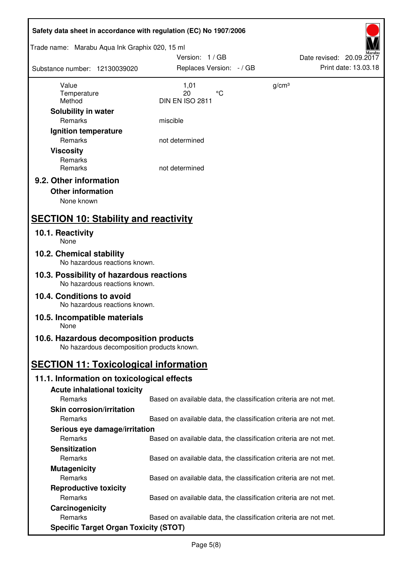| Safety data sheet in accordance with regulation (EC) No 1907/2006                    |                                                                   |                          |  |  |
|--------------------------------------------------------------------------------------|-------------------------------------------------------------------|--------------------------|--|--|
| Trade name: Marabu Aqua Ink Graphix 020, 15 ml                                       |                                                                   |                          |  |  |
|                                                                                      | Version: 1 / GB                                                   | Date revised: 20.09.2017 |  |  |
| Substance number: 12130039020                                                        | Replaces Version: - / GB                                          | Print date: 13.03.18     |  |  |
|                                                                                      |                                                                   |                          |  |  |
| Value<br>Temperature                                                                 | 1,01<br>$\rm ^{\circ}C$<br>20                                     | g/cm <sup>3</sup>        |  |  |
| Method                                                                               | DIN EN ISO 2811                                                   |                          |  |  |
| Solubility in water                                                                  |                                                                   |                          |  |  |
| Remarks                                                                              | miscible                                                          |                          |  |  |
| Ignition temperature                                                                 |                                                                   |                          |  |  |
| Remarks                                                                              | not determined                                                    |                          |  |  |
| <b>Viscosity</b>                                                                     |                                                                   |                          |  |  |
| Remarks                                                                              |                                                                   |                          |  |  |
| Remarks                                                                              | not determined                                                    |                          |  |  |
| 9.2. Other information                                                               |                                                                   |                          |  |  |
| <b>Other information</b>                                                             |                                                                   |                          |  |  |
| None known                                                                           |                                                                   |                          |  |  |
|                                                                                      |                                                                   |                          |  |  |
| <b>SECTION 10: Stability and reactivity</b>                                          |                                                                   |                          |  |  |
| 10.1. Reactivity<br>None                                                             |                                                                   |                          |  |  |
|                                                                                      |                                                                   |                          |  |  |
| 10.2. Chemical stability<br>No hazardous reactions known.                            |                                                                   |                          |  |  |
| 10.3. Possibility of hazardous reactions<br>No hazardous reactions known.            |                                                                   |                          |  |  |
| 10.4. Conditions to avoid<br>No hazardous reactions known.                           |                                                                   |                          |  |  |
| 10.5. Incompatible materials<br>None                                                 |                                                                   |                          |  |  |
| 10.6. Hazardous decomposition products<br>No hazardous decomposition products known. |                                                                   |                          |  |  |
|                                                                                      |                                                                   |                          |  |  |
| <b>SECTION 11: Toxicological information</b>                                         |                                                                   |                          |  |  |
| 11.1. Information on toxicological effects                                           |                                                                   |                          |  |  |
|                                                                                      |                                                                   |                          |  |  |
| <b>Acute inhalational toxicity</b><br>Remarks                                        |                                                                   |                          |  |  |
|                                                                                      | Based on available data, the classification criteria are not met. |                          |  |  |
| <b>Skin corrosion/irritation</b>                                                     |                                                                   |                          |  |  |
| Remarks                                                                              | Based on available data, the classification criteria are not met. |                          |  |  |
| Serious eye damage/irritation                                                        |                                                                   |                          |  |  |
| Remarks                                                                              | Based on available data, the classification criteria are not met. |                          |  |  |
| <b>Sensitization</b>                                                                 |                                                                   |                          |  |  |
| Remarks                                                                              | Based on available data, the classification criteria are not met. |                          |  |  |
| <b>Mutagenicity</b>                                                                  |                                                                   |                          |  |  |
| Remarks                                                                              | Based on available data, the classification criteria are not met. |                          |  |  |
| <b>Reproductive toxicity</b>                                                         |                                                                   |                          |  |  |
| Remarks                                                                              | Based on available data, the classification criteria are not met. |                          |  |  |
| Carcinogenicity                                                                      |                                                                   |                          |  |  |
| Remarks                                                                              | Based on available data, the classification criteria are not met. |                          |  |  |
| <b>Specific Target Organ Toxicity (STOT)</b>                                         |                                                                   |                          |  |  |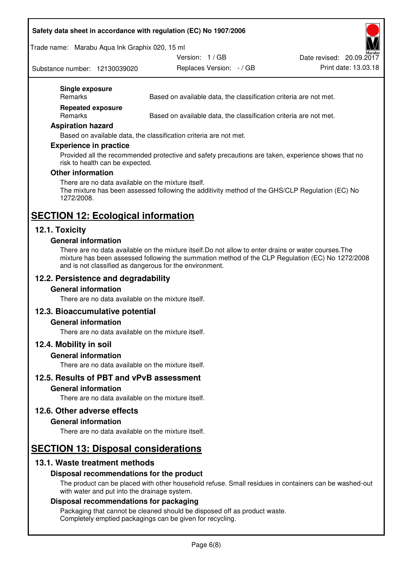### **Safety data sheet in accordance with regulation (EC) No 1907/2006**

Trade name: Marabu Aqua Ink Graphix 020, 15 ml

Date revised: 20.09.2017

Substance number: 12130039020

**Single exposure** 

Replaces Version:  $-$  / GB Print date: 13.03.18

Version: 1 / GB

Remarks Based on available data, the classification criteria are not met.

**Repeated exposure** 

Remarks Based on available data, the classification criteria are not met.

### **Aspiration hazard**

Based on available data, the classification criteria are not met.

### **Experience in practice**

Provided all the recommended protective and safety precautions are taken, experience shows that no risk to health can be expected.

### **Other information**

There are no data available on the mixture itself. The mixture has been assessed following the additivity method of the GHS/CLP Regulation (EC) No 1272/2008.

# **SECTION 12: Ecological information**

## **12.1. Toxicity**

### **General information**

There are no data available on the mixture itself.Do not allow to enter drains or water courses.The mixture has been assessed following the summation method of the CLP Regulation (EC) No 1272/2008 and is not classified as dangerous for the environment.

## **12.2. Persistence and degradability**

### **General information**

There are no data available on the mixture itself.

## **12.3. Bioaccumulative potential**

### **General information**

There are no data available on the mixture itself.

## **12.4. Mobility in soil**

## **General information**

There are no data available on the mixture itself.

## **12.5. Results of PBT and vPvB assessment**

### **General information**

There are no data available on the mixture itself.

## **12.6. Other adverse effects**

### **General information**

There are no data available on the mixture itself.

## **SECTION 13: Disposal considerations**

## **13.1. Waste treatment methods**

## **Disposal recommendations for the product**

The product can be placed with other household refuse. Small residues in containers can be washed-out with water and put into the drainage system.

### **Disposal recommendations for packaging**

Packaging that cannot be cleaned should be disposed off as product waste. Completely emptied packagings can be given for recycling.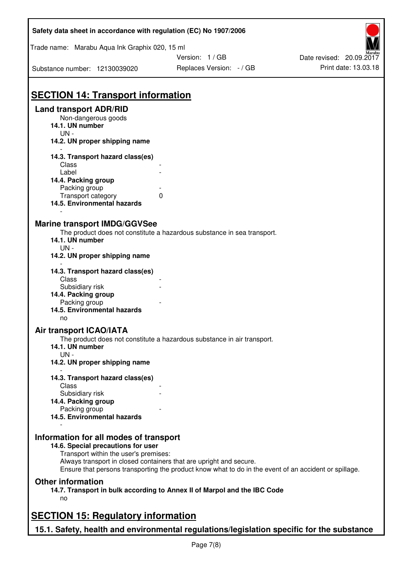| Safety data sheet in accordance with regulation (EC) No 1907/2006                                                     |                                                                                                                                                                             |                          |  |  |  |
|-----------------------------------------------------------------------------------------------------------------------|-----------------------------------------------------------------------------------------------------------------------------------------------------------------------------|--------------------------|--|--|--|
| Trade name: Marabu Aqua Ink Graphix 020, 15 ml                                                                        |                                                                                                                                                                             |                          |  |  |  |
|                                                                                                                       | Version: 1 / GB                                                                                                                                                             | Date revised: 20.09.2017 |  |  |  |
| Substance number: 12130039020                                                                                         | Replaces Version: - / GB                                                                                                                                                    | Print date: 13.03.18     |  |  |  |
| <b>SECTION 14: Transport information</b>                                                                              |                                                                                                                                                                             |                          |  |  |  |
| <b>Land transport ADR/RID</b>                                                                                         |                                                                                                                                                                             |                          |  |  |  |
| Non-dangerous goods<br>14.1. UN number                                                                                |                                                                                                                                                                             |                          |  |  |  |
| $UN -$<br>14.2. UN proper shipping name                                                                               |                                                                                                                                                                             |                          |  |  |  |
| 14.3. Transport hazard class(es)                                                                                      |                                                                                                                                                                             |                          |  |  |  |
| Class                                                                                                                 |                                                                                                                                                                             |                          |  |  |  |
| Label                                                                                                                 |                                                                                                                                                                             |                          |  |  |  |
| 14.4. Packing group                                                                                                   |                                                                                                                                                                             |                          |  |  |  |
| Packing group                                                                                                         |                                                                                                                                                                             |                          |  |  |  |
| Transport category<br>14.5. Environmental hazards                                                                     | 0                                                                                                                                                                           |                          |  |  |  |
| <b>Marine transport IMDG/GGVSee</b><br>14.1. UN number<br>$UN -$<br>14.2. UN proper shipping name                     | The product does not constitute a hazardous substance in sea transport.                                                                                                     |                          |  |  |  |
| 14.3. Transport hazard class(es)                                                                                      |                                                                                                                                                                             |                          |  |  |  |
| Class                                                                                                                 |                                                                                                                                                                             |                          |  |  |  |
| Subsidiary risk                                                                                                       |                                                                                                                                                                             |                          |  |  |  |
| 14.4. Packing group                                                                                                   |                                                                                                                                                                             |                          |  |  |  |
| Packing group<br>14.5. Environmental hazards                                                                          |                                                                                                                                                                             |                          |  |  |  |
| no                                                                                                                    |                                                                                                                                                                             |                          |  |  |  |
| Air transport ICAO/IATA                                                                                               |                                                                                                                                                                             |                          |  |  |  |
| 14.1. UN number<br>UN-                                                                                                | The product does not constitute a hazardous substance in air transport.                                                                                                     |                          |  |  |  |
| 14.2. UN proper shipping name                                                                                         |                                                                                                                                                                             |                          |  |  |  |
| 14.3. Transport hazard class(es)                                                                                      |                                                                                                                                                                             |                          |  |  |  |
| Class                                                                                                                 |                                                                                                                                                                             |                          |  |  |  |
| Subsidiary risk                                                                                                       |                                                                                                                                                                             |                          |  |  |  |
| 14.4. Packing group                                                                                                   |                                                                                                                                                                             |                          |  |  |  |
| Packing group<br>14.5. Environmental hazards                                                                          |                                                                                                                                                                             |                          |  |  |  |
| Information for all modes of transport<br>14.6. Special precautions for user<br>Transport within the user's premises: | Always transport in closed containers that are upright and secure.<br>Ensure that persons transporting the product know what to do in the event of an accident or spillage. |                          |  |  |  |
| <b>Other information</b>                                                                                              |                                                                                                                                                                             |                          |  |  |  |
| 14.7. Transport in bulk according to Annex II of Marpol and the IBC Code<br>no                                        |                                                                                                                                                                             |                          |  |  |  |
| <b>SECTION 15: Regulatory information</b>                                                                             |                                                                                                                                                                             |                          |  |  |  |
|                                                                                                                       | 15.1. Safety, health and environmental regulations/legislation specific for the substance                                                                                   |                          |  |  |  |